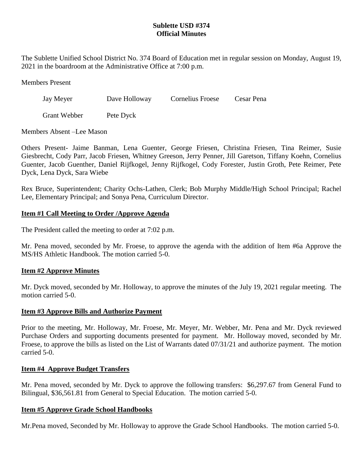# **Sublette USD #374 Official Minutes**

The Sublette Unified School District No. 374 Board of Education met in regular session on Monday, August 19, 2021 in the boardroom at the Administrative Office at 7:00 p.m.

Members Present

Jay Meyer Dave Holloway Cornelius Froese Cesar Pena

Grant Webber Pete Dyck

Members Absent –Lee Mason

Others Present- Jaime Banman, Lena Guenter, George Friesen, Christina Friesen, Tina Reimer, Susie Giesbrecht, Cody Parr, Jacob Friesen, Whitney Greeson, Jerry Penner, Jill Garetson, Tiffany Koehn, Cornelius Guenter, Jacob Guenther, Daniel Rijfkogel, Jenny Rijfkogel, Cody Forester, Justin Groth, Pete Reimer, Pete Dyck, Lena Dyck, Sara Wiebe

Rex Bruce, Superintendent; Charity Ochs-Lathen, Clerk; Bob Murphy Middle/High School Principal; Rachel Lee, Elementary Principal; and Sonya Pena, Curriculum Director.

# **Item #1 Call Meeting to Order /Approve Agenda**

The President called the meeting to order at 7:02 p.m.

Mr. Pena moved, seconded by Mr. Froese, to approve the agenda with the addition of Item #6a Approve the MS/HS Athletic Handbook. The motion carried 5-0.

# **Item #2 Approve Minutes**

Mr. Dyck moved, seconded by Mr. Holloway, to approve the minutes of the July 19, 2021 regular meeting. The motion carried 5-0.

# **Item #3 Approve Bills and Authorize Payment**

Prior to the meeting, Mr. Holloway, Mr. Froese, Mr. Meyer, Mr. Webber, Mr. Pena and Mr. Dyck reviewed Purchase Orders and supporting documents presented for payment. Mr. Holloway moved, seconded by Mr. Froese, to approve the bills as listed on the List of Warrants dated 07/31/21 and authorize payment. The motion carried 5-0.

# **Item #4 Approve Budget Transfers**

Mr. Pena moved, seconded by Mr. Dyck to approve the following transfers: \$6,297.67 from General Fund to Bilingual, \$36,561.81 from General to Special Education. The motion carried 5-0.

# **Item #5 Approve Grade School Handbooks**

Mr.Pena moved, Seconded by Mr. Holloway to approve the Grade School Handbooks. The motion carried 5-0.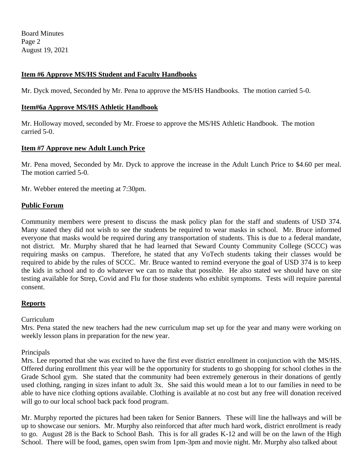Board Minutes Page 2 August 19, 2021

### **Item #6 Approve MS/HS Student and Faculty Handbooks**

Mr. Dyck moved, Seconded by Mr. Pena to approve the MS/HS Handbooks. The motion carried 5-0.

### **Item#6a Approve MS/HS Athletic Handbook**

Mr. Holloway moved, seconded by Mr. Froese to approve the MS/HS Athletic Handbook. The motion carried 5-0.

### **Item #7 Approve new Adult Lunch Price**

Mr. Pena moved, Seconded by Mr. Dyck to approve the increase in the Adult Lunch Price to \$4.60 per meal. The motion carried 5-0.

Mr. Webber entered the meeting at 7:30pm.

#### **Public Forum**

Community members were present to discuss the mask policy plan for the staff and students of USD 374. Many stated they did not wish to see the students be required to wear masks in school. Mr. Bruce informed everyone that masks would be required during any transportation of students. This is due to a federal mandate, not district. Mr. Murphy shared that he had learned that Seward County Community College (SCCC) was requiring masks on campus. Therefore, he stated that any VoTech students taking their classes would be required to abide by the rules of SCCC. Mr. Bruce wanted to remind everyone the goal of USD 374 is to keep the kids in school and to do whatever we can to make that possible. He also stated we should have on site testing available for Strep, Covid and Flu for those students who exhibit symptoms. Tests will require parental consent.

### **Reports**

#### Curriculum

Mrs. Pena stated the new teachers had the new curriculum map set up for the year and many were working on weekly lesson plans in preparation for the new year.

Principals

Mrs. Lee reported that she was excited to have the first ever district enrollment in conjunction with the MS/HS. Offered during enrollment this year will be the opportunity for students to go shopping for school clothes in the Grade School gym. She stated that the community had been extremely generous in their donations of gently used clothing, ranging in sizes infant to adult 3x. She said this would mean a lot to our families in need to be able to have nice clothing options available. Clothing is available at no cost but any free will donation received will go to our local school back pack food program.

Mr. Murphy reported the pictures had been taken for Senior Banners. These will line the hallways and will be up to showcase our seniors. Mr. Murphy also reinforced that after much hard work, district enrollment is ready to go. August 28 is the Back to School Bash. This is for all grades K-12 and will be on the lawn of the High School. There will be food, games, open swim from 1pm-3pm and movie night. Mr. Murphy also talked about